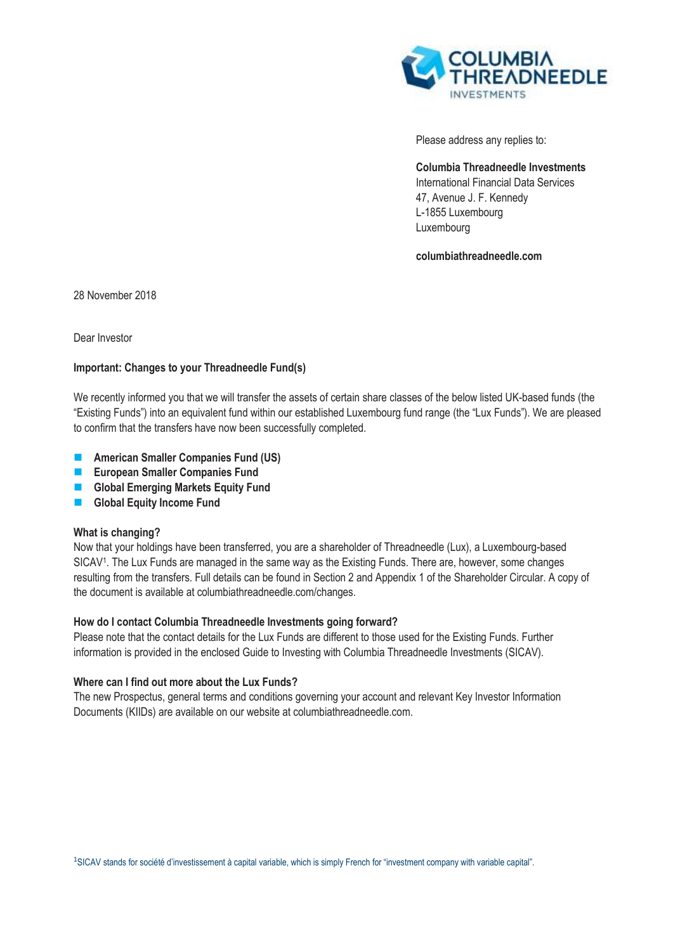

Please address any replies to:

**Columbia Threadneedle Investments**  International Financial Data Services 47, Avenue J. F. Kennedy L-1855 Luxembourg Luxembourg

**columbiathreadneedle.com**

28 November 2018

Dear Investor

# **Important: Changes to your Threadneedle Fund(s)**

We recently informed you that we will transfer the assets of certain share classes of the below listed UK-based funds (the "Existing Funds") into an equivalent fund within our established Luxembourg fund range (the "Lux Funds"). We are pleased to confirm that the transfers have now been successfully completed.

- **American Smaller Companies Fund (US)**
- **European Smaller Companies Fund**
- **Global Emerging Markets Equity Fund**
- **Global Equity Income Fund**

# **What is changing?**

Now that your holdings have been transferred, you are a shareholder of Threadneedle (Lux), a Luxembourg-based SICAV<sup>1</sup> . The Lux Funds are managed in the same way as the Existing Funds. There are, however, some changes resulting from the transfers. Full details can be found in Section 2 and Appendix 1 of the Shareholder Circular. A copy of the document is available at columbiathreadneedle.com/changes.

# **How do I contact Columbia Threadneedle Investments going forward?**

Please note that the contact details for the Lux Funds are different to those used for the Existing Funds. Further information is provided in the enclosed Guide to Investing with Columbia Threadneedle Investments (SICAV).

# **Where can I find out more about the Lux Funds?**

The new Prospectus, general terms and conditions governing your account and relevant Key Investor Information Documents (KIIDs) are available on our website at columbiathreadneedle.com.